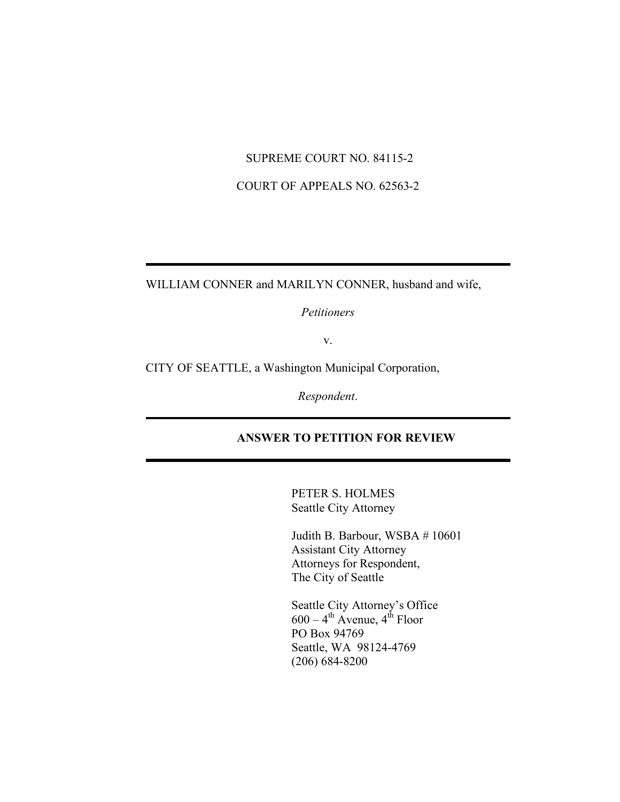### SUPREME COURT NO. 84115-2

# COURT OF APPEALS NO. 62563-2

WILLIAM CONNER and MARILYN CONNER, husband and wife,

*Petitioners*

v.

CITY OF SEATTLE, a Washington Municipal Corporation,

*Respondent*.

# **ANSWER TO PETITION FOR REVIEW**

PETER S. HOLMES Seattle City Attorney

Judith B. Barbour, WSBA # 10601 Assistant City Attorney Attorneys for Respondent, The City of Seattle

Seattle City Attorney's Office  $600 - 4$ <sup>th</sup> Avenue,  $4$ <sup>th</sup> Floor PO Box 94769 Seattle, WA 98124-4769 (206) 684-8200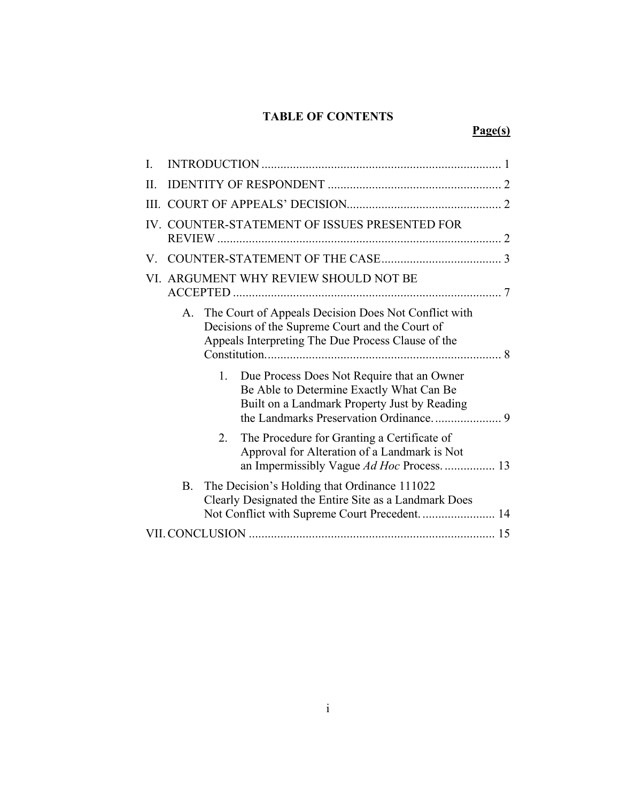# **TABLE OF CONTENTS**

# **Page(s)**

| $\mathbf{I}$ . |                                                                                                                                                                      |         |                                                                                                                                                               |  |  |
|----------------|----------------------------------------------------------------------------------------------------------------------------------------------------------------------|---------|---------------------------------------------------------------------------------------------------------------------------------------------------------------|--|--|
| II.            |                                                                                                                                                                      |         |                                                                                                                                                               |  |  |
|                |                                                                                                                                                                      |         |                                                                                                                                                               |  |  |
|                | IV. COUNTER-STATEMENT OF ISSUES PRESENTED FOR                                                                                                                        |         |                                                                                                                                                               |  |  |
| V.             |                                                                                                                                                                      |         |                                                                                                                                                               |  |  |
|                | VI. ARGUMENT WHY REVIEW SHOULD NOT BE                                                                                                                                |         |                                                                                                                                                               |  |  |
|                | A.                                                                                                                                                                   |         | The Court of Appeals Decision Does Not Conflict with<br>Decisions of the Supreme Court and the Court of<br>Appeals Interpreting The Due Process Clause of the |  |  |
|                |                                                                                                                                                                      | 1.      | Due Process Does Not Require that an Owner<br>Be Able to Determine Exactly What Can Be<br>Built on a Landmark Property Just by Reading                        |  |  |
|                |                                                                                                                                                                      | $2_{-}$ | The Procedure for Granting a Certificate of<br>Approval for Alteration of a Landmark is Not<br>an Impermissibly Vague Ad Hoc Process 13                       |  |  |
|                | The Decision's Holding that Ordinance 111022<br><b>B.</b><br>Clearly Designated the Entire Site as a Landmark Does<br>Not Conflict with Supreme Court Precedent.  14 |         |                                                                                                                                                               |  |  |
|                |                                                                                                                                                                      |         |                                                                                                                                                               |  |  |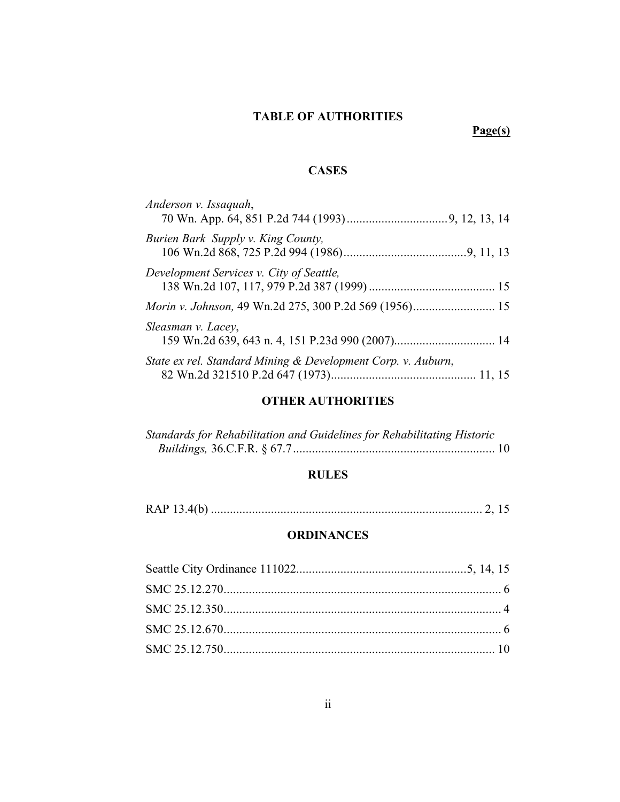# **TABLE OF AUTHORITIES**

# **Page(s)**

# **CASES**

| Anderson v. Issaquah,                                        |  |
|--------------------------------------------------------------|--|
| Burien Bark Supply v. King County,                           |  |
| Development Services v. City of Seattle,                     |  |
|                                                              |  |
| Sleasman v. Lacey,                                           |  |
| State ex rel. Standard Mining & Development Corp. v. Auburn, |  |

# **OTHER AUTHORITIES**

| Standards for Rehabilitation and Guidelines for Rehabilitating Historic |  |
|-------------------------------------------------------------------------|--|
|                                                                         |  |

# **RULES**

RAP 13.4(b) ...................................................................................... 2, 15

# **ORDINANCES**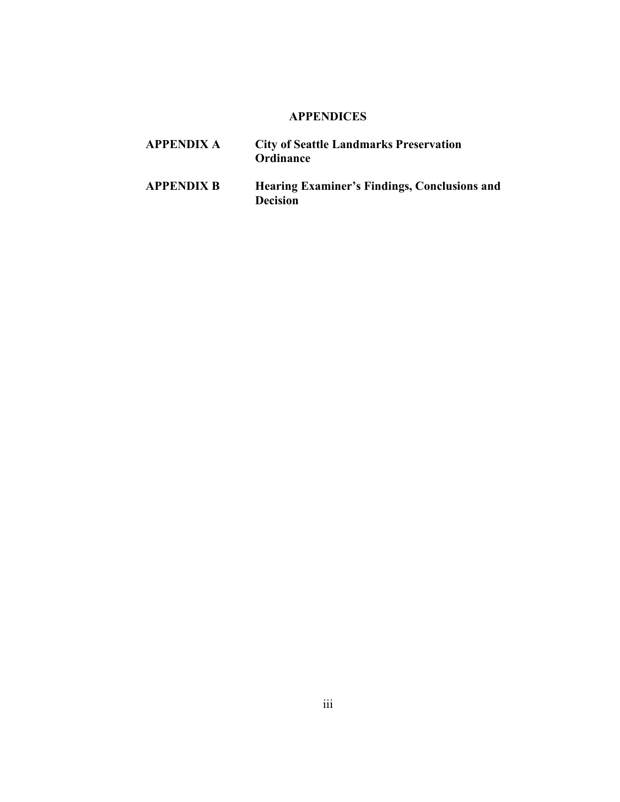# **APPENDICES**

- **APPENDIX A City of Seattle Landmarks Preservation Ordinance**
- **APPENDIX B Hearing Examiner's Findings, Conclusions and Decision**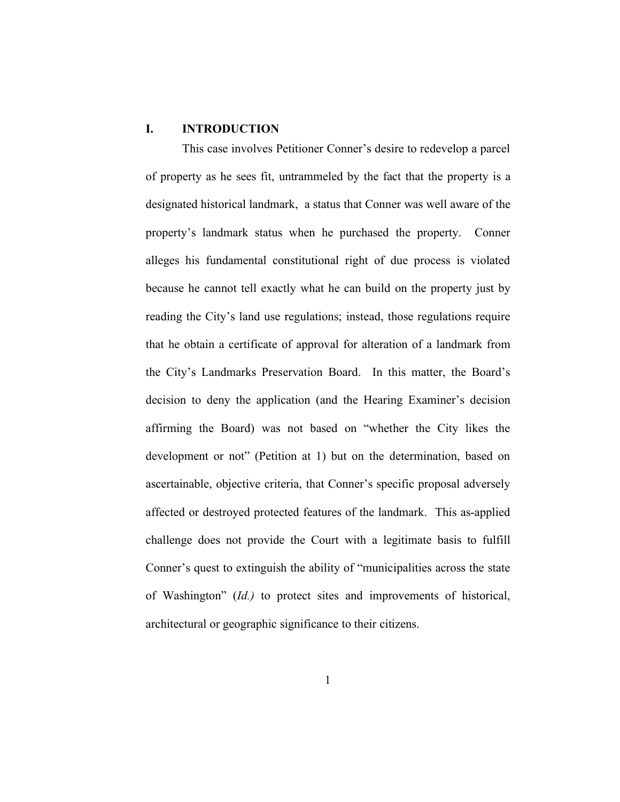# **I. INTRODUCTION**

This case involves Petitioner Conner's desire to redevelop a parcel of property as he sees fit, untrammeled by the fact that the property is a designated historical landmark, a status that Conner was well aware of the property's landmark status when he purchased the property. Conner alleges his fundamental constitutional right of due process is violated because he cannot tell exactly what he can build on the property just by reading the City's land use regulations; instead, those regulations require that he obtain a certificate of approval for alteration of a landmark from the City's Landmarks Preservation Board. In this matter, the Board's decision to deny the application (and the Hearing Examiner's decision affirming the Board) was not based on "whether the City likes the development or not" (Petition at 1) but on the determination, based on ascertainable, objective criteria, that Conner's specific proposal adversely affected or destroyed protected features of the landmark. This as-applied challenge does not provide the Court with a legitimate basis to fulfill Conner's quest to extinguish the ability of "municipalities across the state of Washington" (*Id.)* to protect sites and improvements of historical, architectural or geographic significance to their citizens.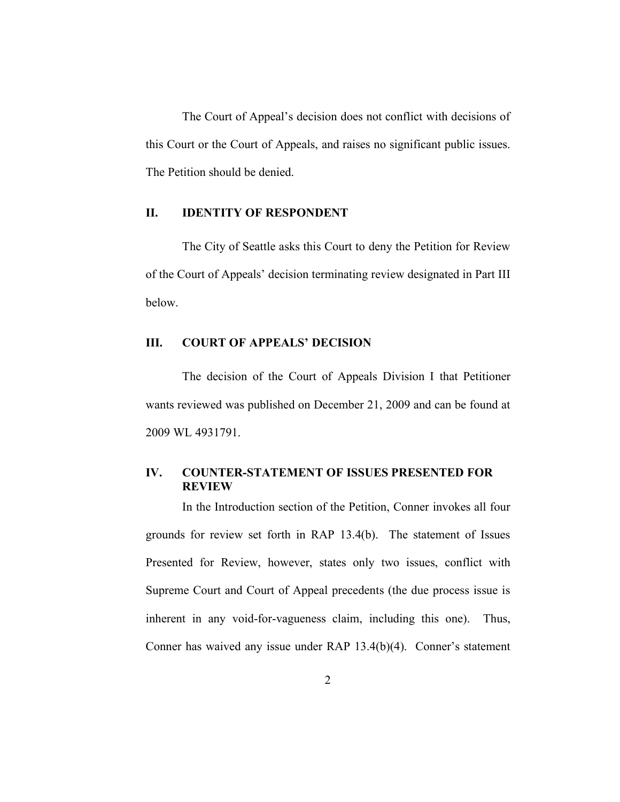The Court of Appeal's decision does not conflict with decisions of this Court or the Court of Appeals, and raises no significant public issues. The Petition should be denied.

#### **II. IDENTITY OF RESPONDENT**

The City of Seattle asks this Court to deny the Petition for Review of the Court of Appeals' decision terminating review designated in Part III below.

# **III. COURT OF APPEALS' DECISION**

The decision of the Court of Appeals Division I that Petitioner wants reviewed was published on December 21, 2009 and can be found at 2009 WL 4931791.

#### **IV. COUNTER-STATEMENT OF ISSUES PRESENTED FOR REVIEW**

In the Introduction section of the Petition, Conner invokes all four grounds for review set forth in RAP 13.4(b). The statement of Issues Presented for Review, however, states only two issues, conflict with Supreme Court and Court of Appeal precedents (the due process issue is inherent in any void-for-vagueness claim, including this one). Thus, Conner has waived any issue under RAP 13.4(b)(4). Conner's statement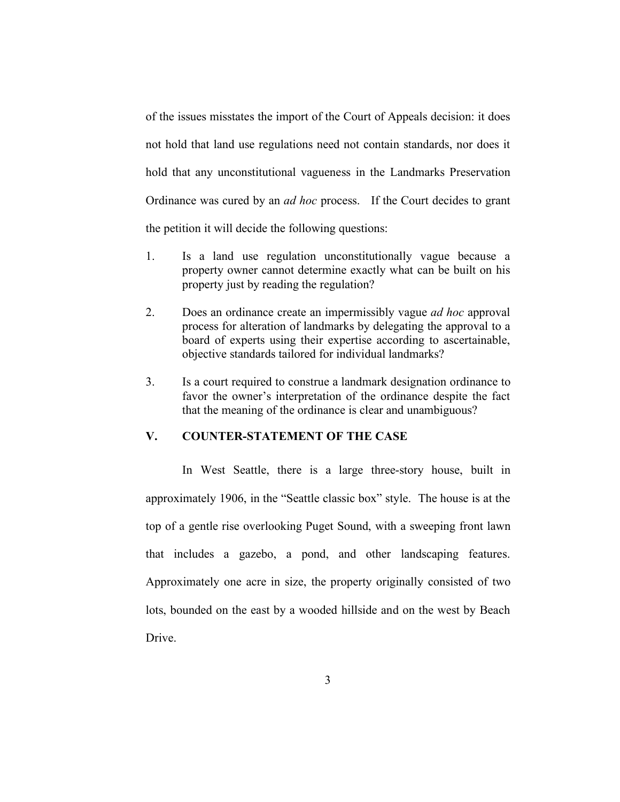of the issues misstates the import of the Court of Appeals decision: it does not hold that land use regulations need not contain standards, nor does it hold that any unconstitutional vagueness in the Landmarks Preservation Ordinance was cured by an *ad hoc* process. If the Court decides to grant the petition it will decide the following questions:

- 1. Is a land use regulation unconstitutionally vague because a property owner cannot determine exactly what can be built on his property just by reading the regulation?
- 2. Does an ordinance create an impermissibly vague *ad hoc* approval process for alteration of landmarks by delegating the approval to a board of experts using their expertise according to ascertainable, objective standards tailored for individual landmarks?
- 3. Is a court required to construe a landmark designation ordinance to favor the owner's interpretation of the ordinance despite the fact that the meaning of the ordinance is clear and unambiguous?

### **V. COUNTER-STATEMENT OF THE CASE**

In West Seattle, there is a large three-story house, built in approximately 1906, in the "Seattle classic box" style. The house is at the top of a gentle rise overlooking Puget Sound, with a sweeping front lawn that includes a gazebo, a pond, and other landscaping features. Approximately one acre in size, the property originally consisted of two lots, bounded on the east by a wooded hillside and on the west by Beach **Drive**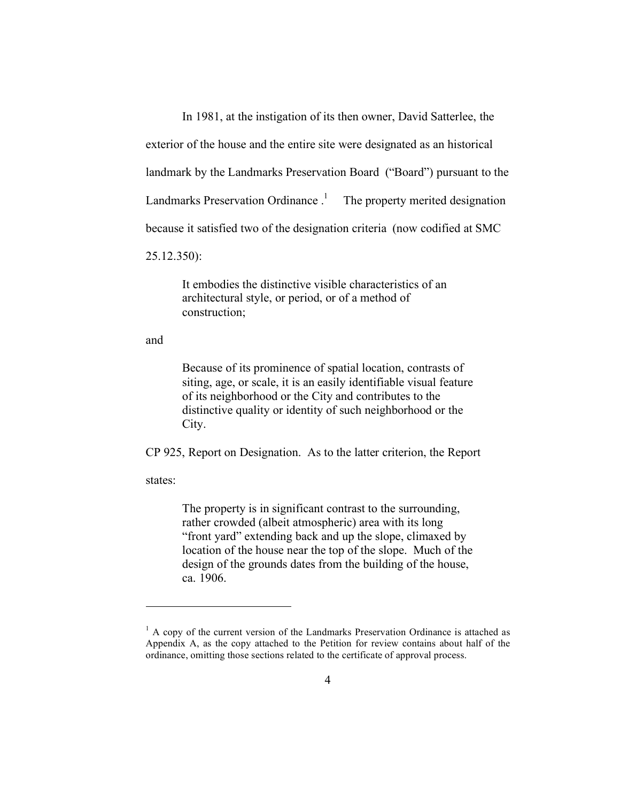In 1981, at the instigation of its then owner, David Satterlee, the

exterior of the house and the entire site were designated as an historical

landmark by the Landmarks Preservation Board ("Board") pursuant to the

Landmarks Preservation Ordinance.<sup>1</sup> The property merited designation

because it satisfied two of the designation criteria (now codified at SMC

25.12.350):

It embodies the distinctive visible characteristics of an architectural style, or period, or of a method of construction;

and

Because of its prominence of spatial location, contrasts of siting, age, or scale, it is an easily identifiable visual feature of its neighborhood or the City and contributes to the distinctive quality or identity of such neighborhood or the City.

CP 925, Report on Designation. As to the latter criterion, the Report

states:

 $\overline{a}$ 

The property is in significant contrast to the surrounding, rather crowded (albeit atmospheric) area with its long "front yard" extending back and up the slope, climaxed by location of the house near the top of the slope. Much of the design of the grounds dates from the building of the house, ca. 1906.

 $<sup>1</sup>$  A copy of the current version of the Landmarks Preservation Ordinance is attached as</sup> Appendix A, as the copy attached to the Petition for review contains about half of the ordinance, omitting those sections related to the certificate of approval process.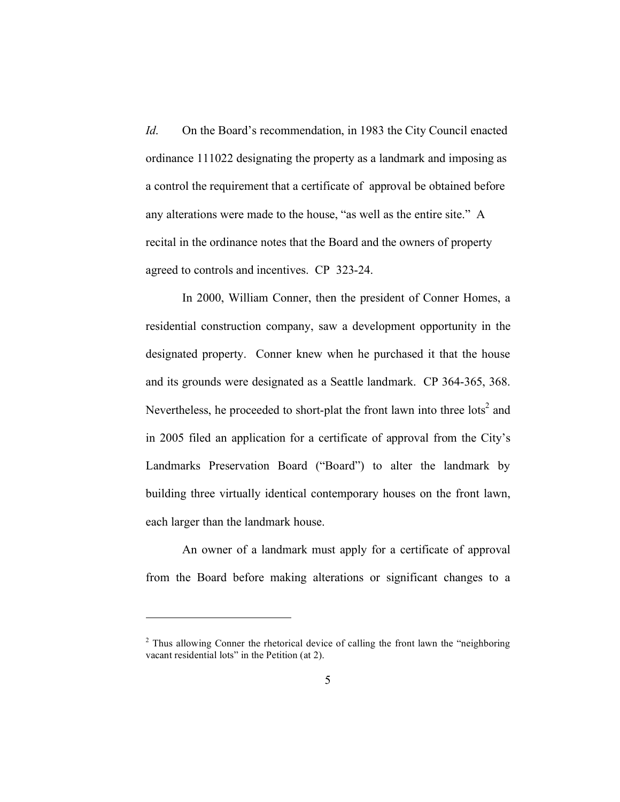*Id.* On the Board's recommendation, in 1983 the City Council enacted ordinance 111022 designating the property as a landmark and imposing as a control the requirement that a certificate of approval be obtained before any alterations were made to the house, "as well as the entire site." A recital in the ordinance notes that the Board and the owners of property agreed to controls and incentives. CP 323-24.

In 2000, William Conner, then the president of Conner Homes, a residential construction company, saw a development opportunity in the designated property. Conner knew when he purchased it that the house and its grounds were designated as a Seattle landmark. CP 364-365, 368. Nevertheless, he proceeded to short-plat the front lawn into three  $\text{lots}^2$  and in 2005 filed an application for a certificate of approval from the City's Landmarks Preservation Board ("Board") to alter the landmark by building three virtually identical contemporary houses on the front lawn, each larger than the landmark house.

An owner of a landmark must apply for a certificate of approval from the Board before making alterations or significant changes to a

 $\overline{a}$ 

 $2$  Thus allowing Conner the rhetorical device of calling the front lawn the "neighboring" vacant residential lots" in the Petition (at 2).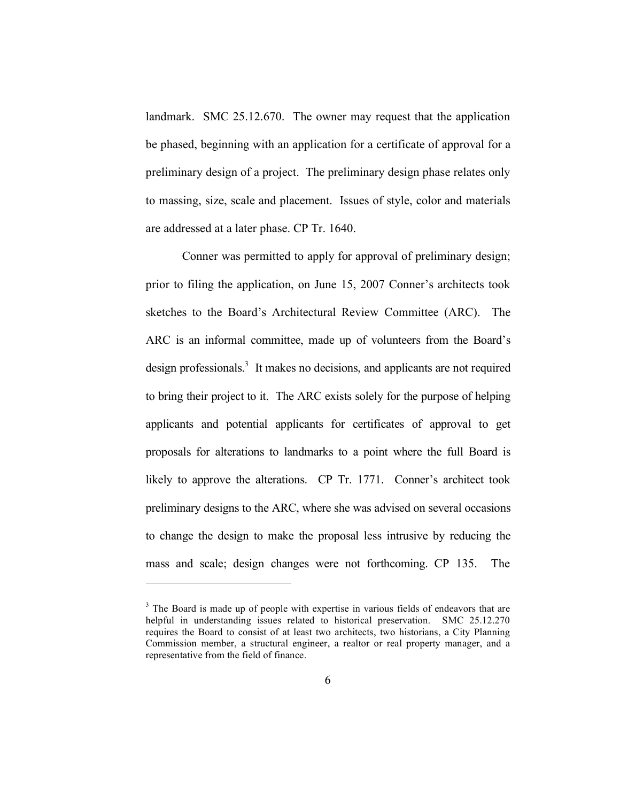landmark. SMC 25.12.670. The owner may request that the application be phased, beginning with an application for a certificate of approval for a preliminary design of a project. The preliminary design phase relates only to massing, size, scale and placement. Issues of style, color and materials are addressed at a later phase. CP Tr. 1640.

Conner was permitted to apply for approval of preliminary design; prior to filing the application, on June 15, 2007 Conner's architects took sketches to the Board's Architectural Review Committee (ARC). The ARC is an informal committee, made up of volunteers from the Board's design professionals.<sup>3</sup> It makes no decisions, and applicants are not required to bring their project to it. The ARC exists solely for the purpose of helping applicants and potential applicants for certificates of approval to get proposals for alterations to landmarks to a point where the full Board is likely to approve the alterations. CP Tr. 1771. Conner's architect took preliminary designs to the ARC, where she was advised on several occasions to change the design to make the proposal less intrusive by reducing the mass and scale; design changes were not forthcoming. CP 135. The

 $\overline{a}$ 

<sup>&</sup>lt;sup>3</sup> The Board is made up of people with expertise in various fields of endeavors that are helpful in understanding issues related to historical preservation. SMC 25.12.270 requires the Board to consist of at least two architects, two historians, a City Planning Commission member, a structural engineer, a realtor or real property manager, and a representative from the field of finance.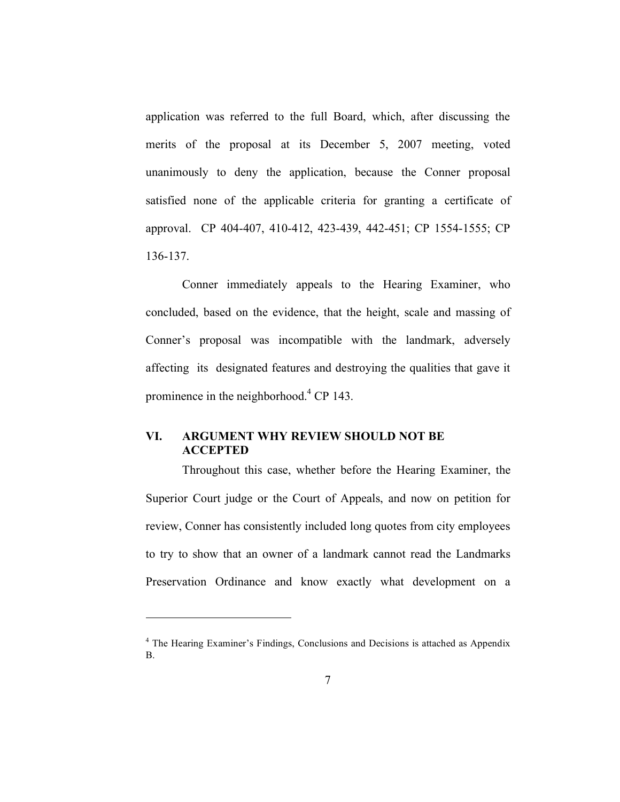application was referred to the full Board, which, after discussing the merits of the proposal at its December 5, 2007 meeting, voted unanimously to deny the application, because the Conner proposal satisfied none of the applicable criteria for granting a certificate of approval. CP 404-407, 410-412, 423-439, 442-451; CP 1554-1555; CP 136-137.

Conner immediately appeals to the Hearing Examiner, who concluded, based on the evidence, that the height, scale and massing of Conner's proposal was incompatible with the landmark, adversely affecting its designated features and destroying the qualities that gave it prominence in the neighborhood.<sup>4</sup> CP 143.

### **VI. ARGUMENT WHY REVIEW SHOULD NOT BE ACCEPTED**

 $\overline{a}$ 

Throughout this case, whether before the Hearing Examiner, the Superior Court judge or the Court of Appeals, and now on petition for review, Conner has consistently included long quotes from city employees to try to show that an owner of a landmark cannot read the Landmarks Preservation Ordinance and know exactly what development on a

<sup>&</sup>lt;sup>4</sup> The Hearing Examiner's Findings, Conclusions and Decisions is attached as Appendix B.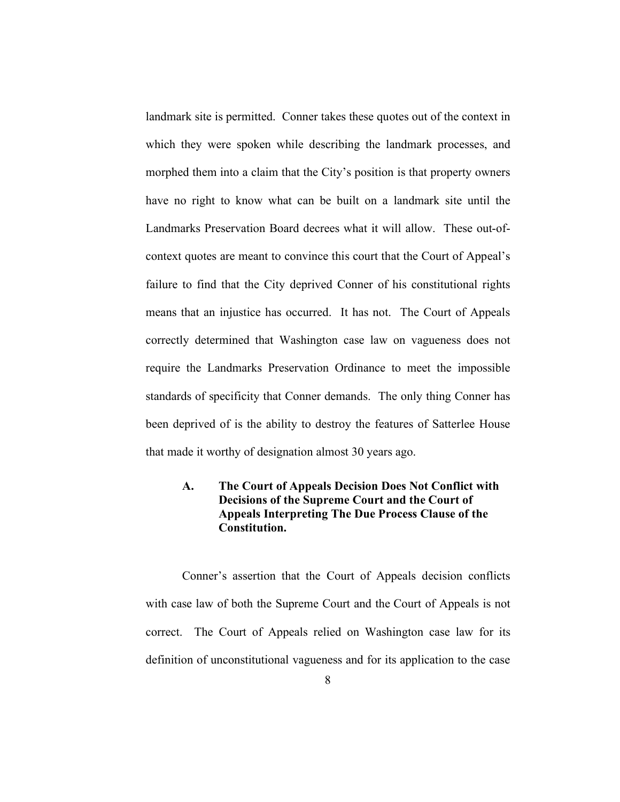landmark site is permitted. Conner takes these quotes out of the context in which they were spoken while describing the landmark processes, and morphed them into a claim that the City's position is that property owners have no right to know what can be built on a landmark site until the Landmarks Preservation Board decrees what it will allow. These out-ofcontext quotes are meant to convince this court that the Court of Appeal's failure to find that the City deprived Conner of his constitutional rights means that an injustice has occurred. It has not. The Court of Appeals correctly determined that Washington case law on vagueness does not require the Landmarks Preservation Ordinance to meet the impossible standards of specificity that Conner demands. The only thing Conner has been deprived of is the ability to destroy the features of Satterlee House that made it worthy of designation almost 30 years ago.

## **A. The Court of Appeals Decision Does Not Conflict with Decisions of the Supreme Court and the Court of Appeals Interpreting The Due Process Clause of the Constitution.**

Conner's assertion that the Court of Appeals decision conflicts with case law of both the Supreme Court and the Court of Appeals is not correct. The Court of Appeals relied on Washington case law for its definition of unconstitutional vagueness and for its application to the case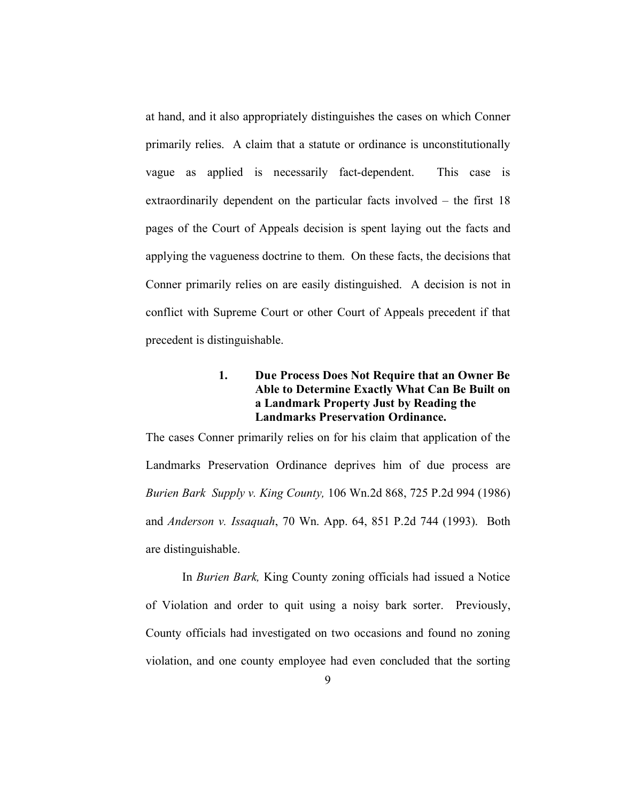at hand, and it also appropriately distinguishes the cases on which Conner primarily relies. A claim that a statute or ordinance is unconstitutionally vague as applied is necessarily fact-dependent. This case is extraordinarily dependent on the particular facts involved – the first 18 pages of the Court of Appeals decision is spent laying out the facts and applying the vagueness doctrine to them. On these facts, the decisions that Conner primarily relies on are easily distinguished. A decision is not in conflict with Supreme Court or other Court of Appeals precedent if that precedent is distinguishable.

### **1. Due Process Does Not Require that an Owner Be Able to Determine Exactly What Can Be Built on a Landmark Property Just by Reading the Landmarks Preservation Ordinance.**

The cases Conner primarily relies on for his claim that application of the Landmarks Preservation Ordinance deprives him of due process are *Burien Bark Supply v. King County,* 106 Wn.2d 868, 725 P.2d 994 (1986) and *Anderson v. Issaquah*, 70 Wn. App. 64, 851 P.2d 744 (1993). Both are distinguishable.

In *Burien Bark,* King County zoning officials had issued a Notice of Violation and order to quit using a noisy bark sorter. Previously, County officials had investigated on two occasions and found no zoning violation, and one county employee had even concluded that the sorting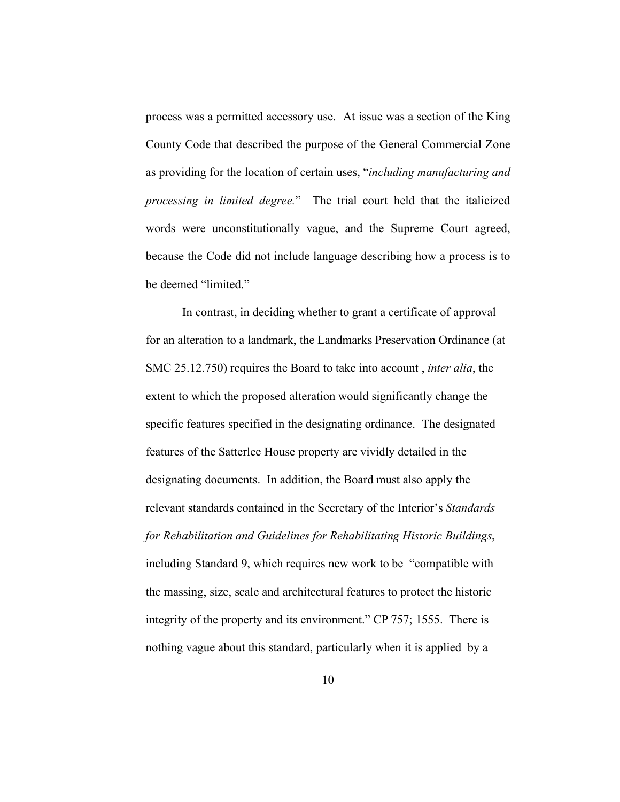process was a permitted accessory use. At issue was a section of the King County Code that described the purpose of the General Commercial Zone as providing for the location of certain uses, "*including manufacturing and processing in limited degree.*" The trial court held that the italicized words were unconstitutionally vague, and the Supreme Court agreed, because the Code did not include language describing how a process is to be deemed "limited."

In contrast, in deciding whether to grant a certificate of approval for an alteration to a landmark, the Landmarks Preservation Ordinance (at SMC 25.12.750) requires the Board to take into account , *inter alia*, the extent to which the proposed alteration would significantly change the specific features specified in the designating ordinance. The designated features of the Satterlee House property are vividly detailed in the designating documents. In addition, the Board must also apply the relevant standards contained in the Secretary of the Interior's *Standards for Rehabilitation and Guidelines for Rehabilitating Historic Buildings*, including Standard 9, which requires new work to be "compatible with the massing, size, scale and architectural features to protect the historic integrity of the property and its environment." CP 757; 1555. There is nothing vague about this standard, particularly when it is applied by a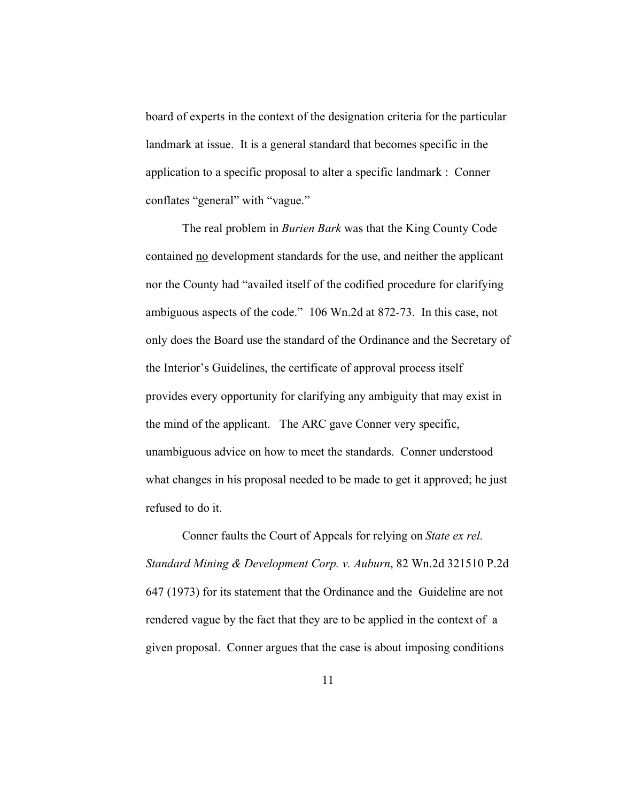board of experts in the context of the designation criteria for the particular landmark at issue. It is a general standard that becomes specific in the application to a specific proposal to alter a specific landmark : Conner conflates "general" with "vague."

The real problem in *Burien Bark* was that the King County Code contained no development standards for the use, and neither the applicant nor the County had "availed itself of the codified procedure for clarifying ambiguous aspects of the code." 106 Wn.2d at 872-73. In this case, not only does the Board use the standard of the Ordinance and the Secretary of the Interior's Guidelines, the certificate of approval process itself provides every opportunity for clarifying any ambiguity that may exist in the mind of the applicant. The ARC gave Conner very specific, unambiguous advice on how to meet the standards. Conner understood what changes in his proposal needed to be made to get it approved; he just refused to do it.

Conner faults the Court of Appeals for relying on *State ex rel. Standard Mining & Development Corp. v. Auburn*, 82 Wn.2d 321510 P.2d 647 (1973) for its statement that the Ordinance and the Guideline are not rendered vague by the fact that they are to be applied in the context of a given proposal. Conner argues that the case is about imposing conditions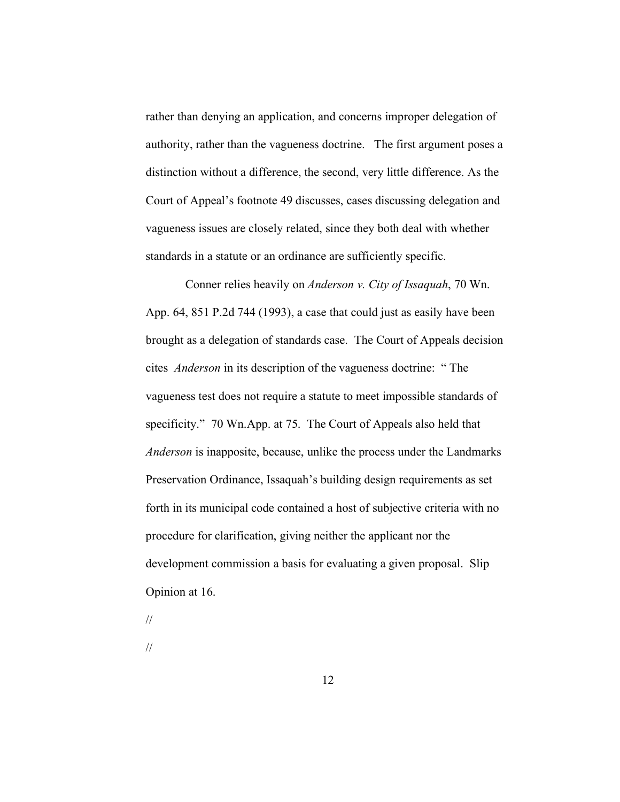rather than denying an application, and concerns improper delegation of authority, rather than the vagueness doctrine. The first argument poses a distinction without a difference, the second, very little difference. As the Court of Appeal's footnote 49 discusses, cases discussing delegation and vagueness issues are closely related, since they both deal with whether standards in a statute or an ordinance are sufficiently specific.

 Conner relies heavily on *Anderson v. City of Issaquah*, 70 Wn. App. 64, 851 P.2d 744 (1993), a case that could just as easily have been brought as a delegation of standards case. The Court of Appeals decision cites *Anderson* in its description of the vagueness doctrine: " The vagueness test does not require a statute to meet impossible standards of specificity." 70 Wn.App. at 75. The Court of Appeals also held that *Anderson* is inapposite, because, unlike the process under the Landmarks Preservation Ordinance, Issaquah's building design requirements as set forth in its municipal code contained a host of subjective criteria with no procedure for clarification, giving neither the applicant nor the development commission a basis for evaluating a given proposal. Slip Opinion at 16.

//

//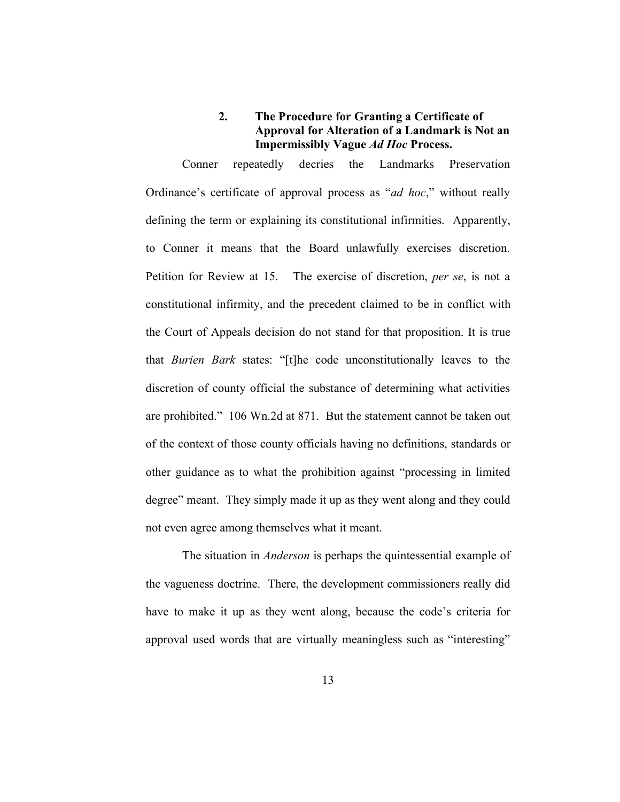# **2. The Procedure for Granting a Certificate of Approval for Alteration of a Landmark is Not an Impermissibly Vague** *Ad Hoc* **Process.**

Conner repeatedly decries the Landmarks Preservation Ordinance's certificate of approval process as "*ad hoc*," without really defining the term or explaining its constitutional infirmities. Apparently, to Conner it means that the Board unlawfully exercises discretion. Petition for Review at 15. The exercise of discretion, *per se*, is not a constitutional infirmity, and the precedent claimed to be in conflict with the Court of Appeals decision do not stand for that proposition. It is true that *Burien Bark* states: "[t]he code unconstitutionally leaves to the discretion of county official the substance of determining what activities are prohibited." 106 Wn.2d at 871. But the statement cannot be taken out of the context of those county officials having no definitions, standards or other guidance as to what the prohibition against "processing in limited degree" meant. They simply made it up as they went along and they could not even agree among themselves what it meant.

The situation in *Anderson* is perhaps the quintessential example of the vagueness doctrine. There, the development commissioners really did have to make it up as they went along, because the code's criteria for approval used words that are virtually meaningless such as "interesting"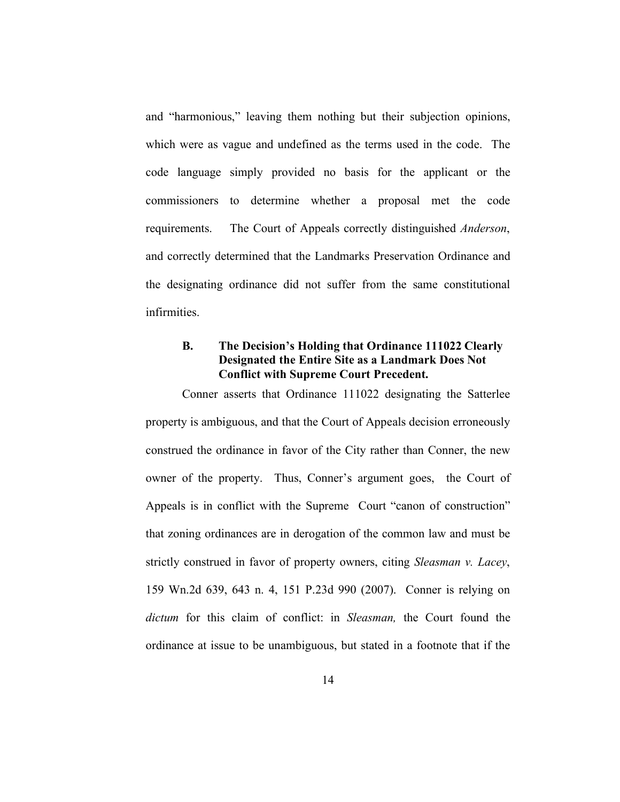and "harmonious," leaving them nothing but their subjection opinions, which were as vague and undefined as the terms used in the code. The code language simply provided no basis for the applicant or the commissioners to determine whether a proposal met the code requirements. The Court of Appeals correctly distinguished *Anderson*, and correctly determined that the Landmarks Preservation Ordinance and the designating ordinance did not suffer from the same constitutional infirmities.

# **B. The Decision's Holding that Ordinance 111022 Clearly Designated the Entire Site as a Landmark Does Not Conflict with Supreme Court Precedent.**

Conner asserts that Ordinance 111022 designating the Satterlee property is ambiguous, and that the Court of Appeals decision erroneously construed the ordinance in favor of the City rather than Conner, the new owner of the property. Thus, Conner's argument goes, the Court of Appeals is in conflict with the Supreme Court "canon of construction" that zoning ordinances are in derogation of the common law and must be strictly construed in favor of property owners, citing *Sleasman v. Lacey*, 159 Wn.2d 639, 643 n. 4, 151 P.23d 990 (2007). Conner is relying on *dictum* for this claim of conflict: in *Sleasman,* the Court found the ordinance at issue to be unambiguous, but stated in a footnote that if the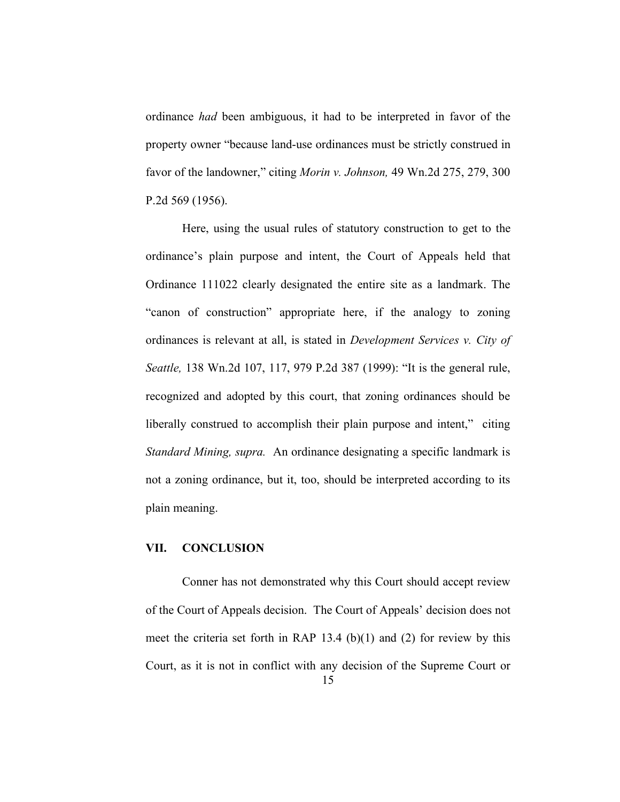ordinance *had* been ambiguous, it had to be interpreted in favor of the property owner "because land-use ordinances must be strictly construed in favor of the landowner," citing *Morin v. Johnson,* 49 Wn.2d 275, 279, 300 P.2d 569 (1956).

Here, using the usual rules of statutory construction to get to the ordinance's plain purpose and intent, the Court of Appeals held that Ordinance 111022 clearly designated the entire site as a landmark. The "canon of construction" appropriate here, if the analogy to zoning ordinances is relevant at all, is stated in *Development Services v. City of Seattle,* 138 Wn.2d 107, 117, 979 P.2d 387 (1999): "It is the general rule, recognized and adopted by this court, that zoning ordinances should be liberally construed to accomplish their plain purpose and intent," citing *Standard Mining, supra.* An ordinance designating a specific landmark is not a zoning ordinance, but it, too, should be interpreted according to its plain meaning.

#### **VII. CONCLUSION**

Conner has not demonstrated why this Court should accept review of the Court of Appeals decision. The Court of Appeals' decision does not meet the criteria set forth in RAP 13.4 (b)(1) and (2) for review by this Court, as it is not in conflict with any decision of the Supreme Court or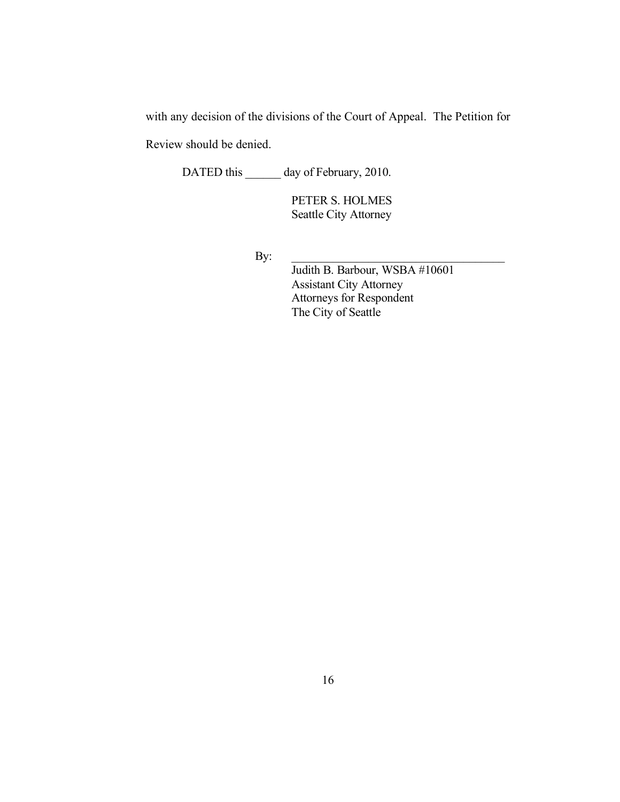with any decision of the divisions of the Court of Appeal. The Petition for

Review should be denied.

DATED this \_\_\_\_\_\_ day of February, 2010.

PETER S. HOLMES Seattle City Attorney

 $\mathbf{By:}$ 

Judith B. Barbour, WSBA #10601 Assistant City Attorney Attorneys for Respondent The City of Seattle